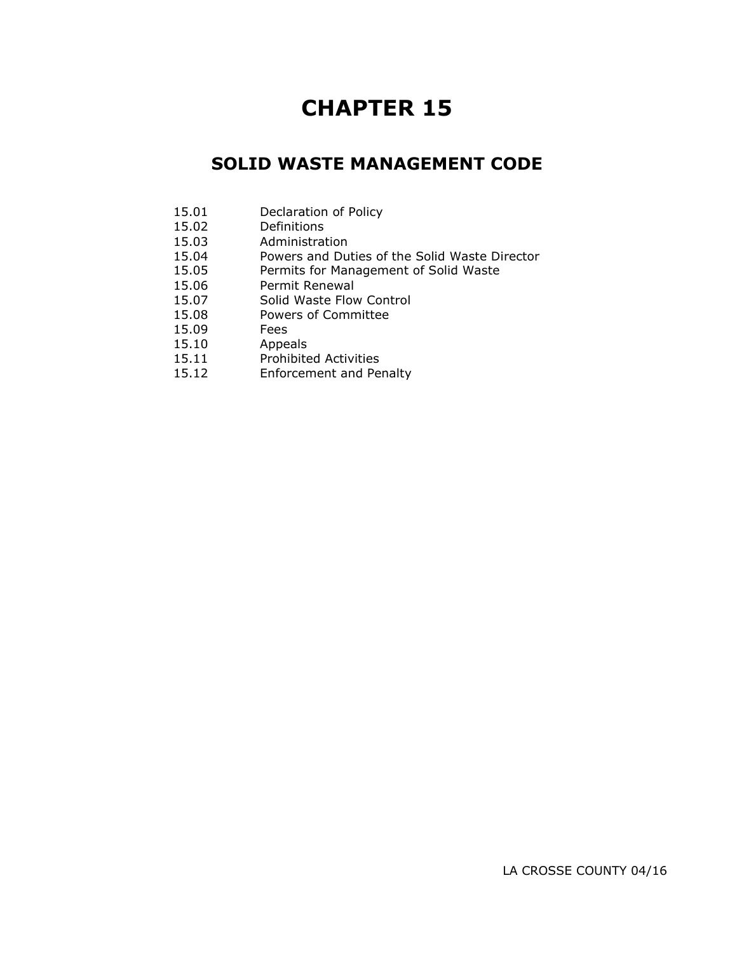# **CHAPTER 15**

# **SOLID WASTE MANAGEMENT CODE**

- 15.01 Declaration of Policy
- 15.02 Definitions
- 15.03 Administration
- 15.04 Powers and Duties of the Solid Waste Director
- 15.05 Permits for Management of Solid Waste
- 15.06 Permit Renewal
- 15.07 Solid Waste Flow Control
- 15.08 Powers of Committee
- 15.09 Fees
- 
- 15.10 Appeals<br>15.11 Prohibite Prohibited Activities
- 15.12 Enforcement and Penalty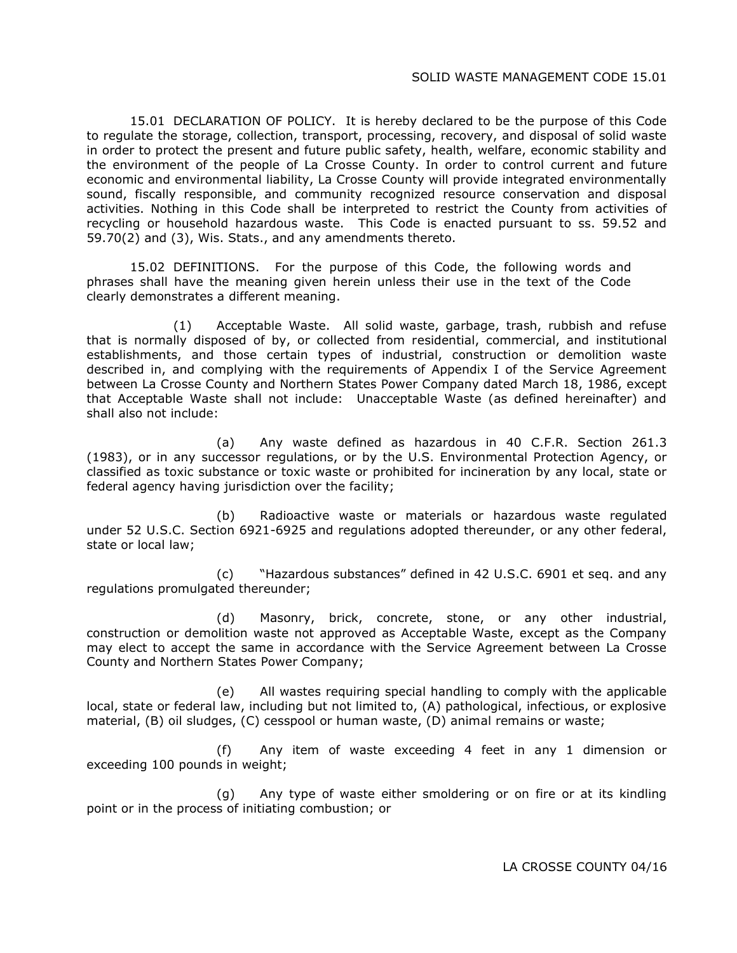15.01 DECLARATION OF POLICY. It is hereby declared to be the purpose of this Code to regulate the storage, collection, transport, processing, recovery, and disposal of solid waste in order to protect the present and future public safety, health, welfare, economic stability and the environment of the people of La Crosse County. In order to control current and future economic and environmental liability, La Crosse County will provide integrated environmentally sound, fiscally responsible, and community recognized resource conservation and disposal activities. Nothing in this Code shall be interpreted to restrict the County from activities of recycling or household hazardous waste. This Code is enacted pursuant to ss. 59.52 and 59.70(2) and (3), Wis. Stats., and any amendments thereto.

15.02 DEFINITIONS. For the purpose of this Code, the following words and phrases shall have the meaning given herein unless their use in the text of the Code clearly demonstrates a different meaning.

(1) Acceptable Waste. All solid waste, garbage, trash, rubbish and refuse that is normally disposed of by, or collected from residential, commercial, and institutional establishments, and those certain types of industrial, construction or demolition waste described in, and complying with the requirements of Appendix I of the Service Agreement between La Crosse County and Northern States Power Company dated March 18, 1986, except that Acceptable Waste shall not include: Unacceptable Waste (as defined hereinafter) and shall also not include:

(a) Any waste defined as hazardous in 40 C.F.R. Section 261.3 (1983), or in any successor regulations, or by the U.S. Environmental Protection Agency, or classified as toxic substance or toxic waste or prohibited for incineration by any local, state or federal agency having jurisdiction over the facility;

(b) Radioactive waste or materials or hazardous waste regulated under 52 U.S.C. Section 6921-6925 and regulations adopted thereunder, or any other federal, state or local law;

(c) "Hazardous substances" defined in 42 U.S.C. 6901 et seq. and any regulations promulgated thereunder;

(d) Masonry, brick, concrete, stone, or any other industrial, construction or demolition waste not approved as Acceptable Waste, except as the Company may elect to accept the same in accordance with the Service Agreement between La Crosse County and Northern States Power Company;

(e) All wastes requiring special handling to comply with the applicable local, state or federal law, including but not limited to, (A) pathological, infectious, or explosive material, (B) oil sludges, (C) cesspool or human waste, (D) animal remains or waste;

(f) Any item of waste exceeding 4 feet in any 1 dimension or exceeding 100 pounds in weight;

(g) Any type of waste either smoldering or on fire or at its kindling point or in the process of initiating combustion; or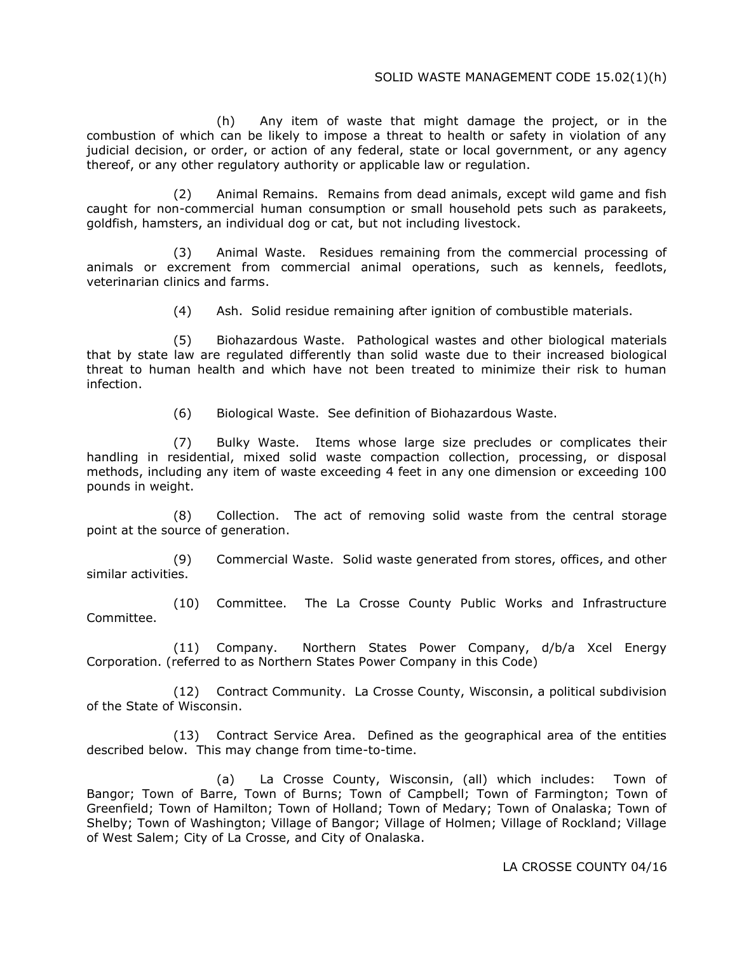## SOLID WASTE MANAGEMENT CODE 15.02(1)(h)

(h) Any item of waste that might damage the project, or in the combustion of which can be likely to impose a threat to health or safety in violation of any judicial decision, or order, or action of any federal, state or local government, or any agency thereof, or any other regulatory authority or applicable law or regulation.

(2) Animal Remains. Remains from dead animals, except wild game and fish caught for non-commercial human consumption or small household pets such as parakeets, goldfish, hamsters, an individual dog or cat, but not including livestock.

(3) Animal Waste. Residues remaining from the commercial processing of animals or excrement from commercial animal operations, such as kennels, feedlots, veterinarian clinics and farms.

(4) Ash. Solid residue remaining after ignition of combustible materials.

(5) Biohazardous Waste. Pathological wastes and other biological materials that by state law are regulated differently than solid waste due to their increased biological threat to human health and which have not been treated to minimize their risk to human infection.

(6) Biological Waste. See definition of Biohazardous Waste.

(7) Bulky Waste. Items whose large size precludes or complicates their handling in residential, mixed solid waste compaction collection, processing, or disposal methods, including any item of waste exceeding 4 feet in any one dimension or exceeding 100 pounds in weight.

(8) Collection. The act of removing solid waste from the central storage point at the source of generation.

(9) Commercial Waste. Solid waste generated from stores, offices, and other similar activities.

(10) Committee. The La Crosse County Public Works and Infrastructure Committee.

(11) Company. Northern States Power Company, d/b/a Xcel Energy Corporation. (referred to as Northern States Power Company in this Code)

(12) Contract Community. La Crosse County, Wisconsin, a political subdivision of the State of Wisconsin.

(13) Contract Service Area. Defined as the geographical area of the entities described below. This may change from time-to-time.

(a) La Crosse County, Wisconsin, (all) which includes: Town of Bangor; Town of Barre, Town of Burns; Town of Campbell; Town of Farmington; Town of Greenfield; Town of Hamilton; Town of Holland; Town of Medary; Town of Onalaska; Town of Shelby; Town of Washington; Village of Bangor; Village of Holmen; Village of Rockland; Village of West Salem; City of La Crosse, and City of Onalaska.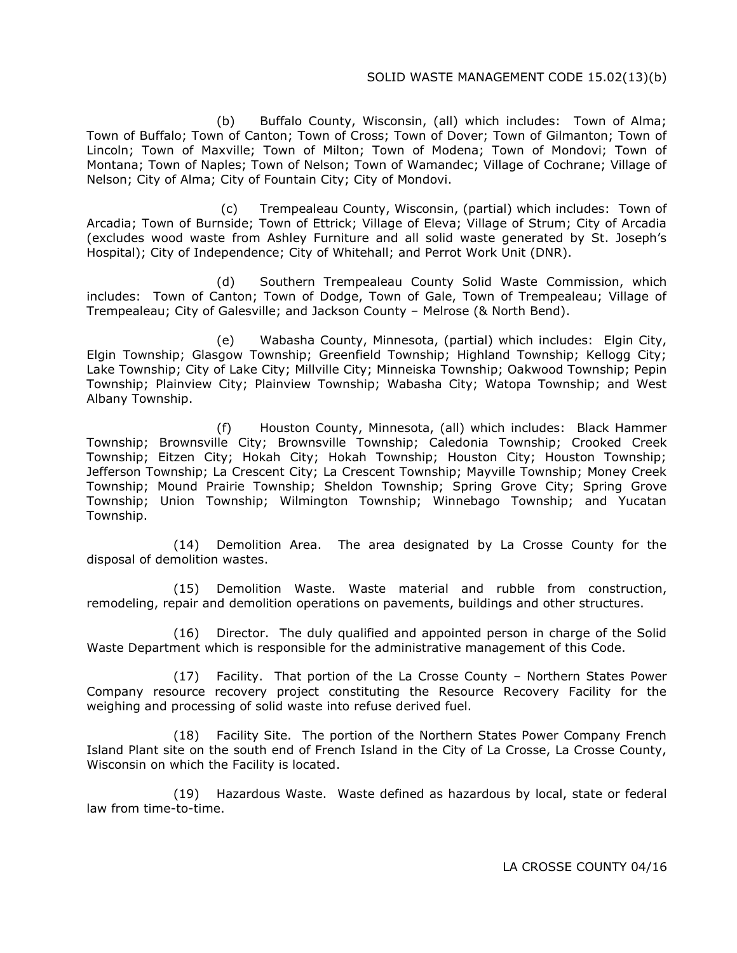## SOLID WASTE MANAGEMENT CODE 15.02(13)(b)

(b) Buffalo County, Wisconsin, (all) which includes: Town of Alma; Town of Buffalo; Town of Canton; Town of Cross; Town of Dover; Town of Gilmanton; Town of Lincoln; Town of Maxville; Town of Milton; Town of Modena; Town of Mondovi; Town of Montana; Town of Naples; Town of Nelson; Town of Wamandec; Village of Cochrane; Village of Nelson; City of Alma; City of Fountain City; City of Mondovi.

(c) Trempealeau County, Wisconsin, (partial) which includes: Town of Arcadia; Town of Burnside; Town of Ettrick; Village of Eleva; Village of Strum; City of Arcadia (excludes wood waste from Ashley Furniture and all solid waste generated by St. Joseph's Hospital); City of Independence; City of Whitehall; and Perrot Work Unit (DNR).

(d) Southern Trempealeau County Solid Waste Commission, which includes: Town of Canton; Town of Dodge, Town of Gale, Town of Trempealeau; Village of Trempealeau; City of Galesville; and Jackson County – Melrose (& North Bend).

(e) Wabasha County, Minnesota, (partial) which includes: Elgin City, Elgin Township; Glasgow Township; Greenfield Township; Highland Township; Kellogg City; Lake Township; City of Lake City; Millville City; Minneiska Township; Oakwood Township; Pepin Township; Plainview City; Plainview Township; Wabasha City; Watopa Township; and West Albany Township.

(f) Houston County, Minnesota, (all) which includes: Black Hammer Township; Brownsville City; Brownsville Township; Caledonia Township; Crooked Creek Township; Eitzen City; Hokah City; Hokah Township; Houston City; Houston Township; Jefferson Township; La Crescent City; La Crescent Township; Mayville Township; Money Creek Township; Mound Prairie Township; Sheldon Township; Spring Grove City; Spring Grove Township; Union Township; Wilmington Township; Winnebago Township; and Yucatan Township.

(14) Demolition Area. The area designated by La Crosse County for the disposal of demolition wastes.

(15) Demolition Waste. Waste material and rubble from construction, remodeling, repair and demolition operations on pavements, buildings and other structures.

(16) Director. The duly qualified and appointed person in charge of the Solid Waste Department which is responsible for the administrative management of this Code.

(17) Facility. That portion of the La Crosse County – Northern States Power Company resource recovery project constituting the Resource Recovery Facility for the weighing and processing of solid waste into refuse derived fuel.

(18) Facility Site. The portion of the Northern States Power Company French Island Plant site on the south end of French Island in the City of La Crosse, La Crosse County, Wisconsin on which the Facility is located.

(19) Hazardous Waste. Waste defined as hazardous by local, state or federal law from time-to-time.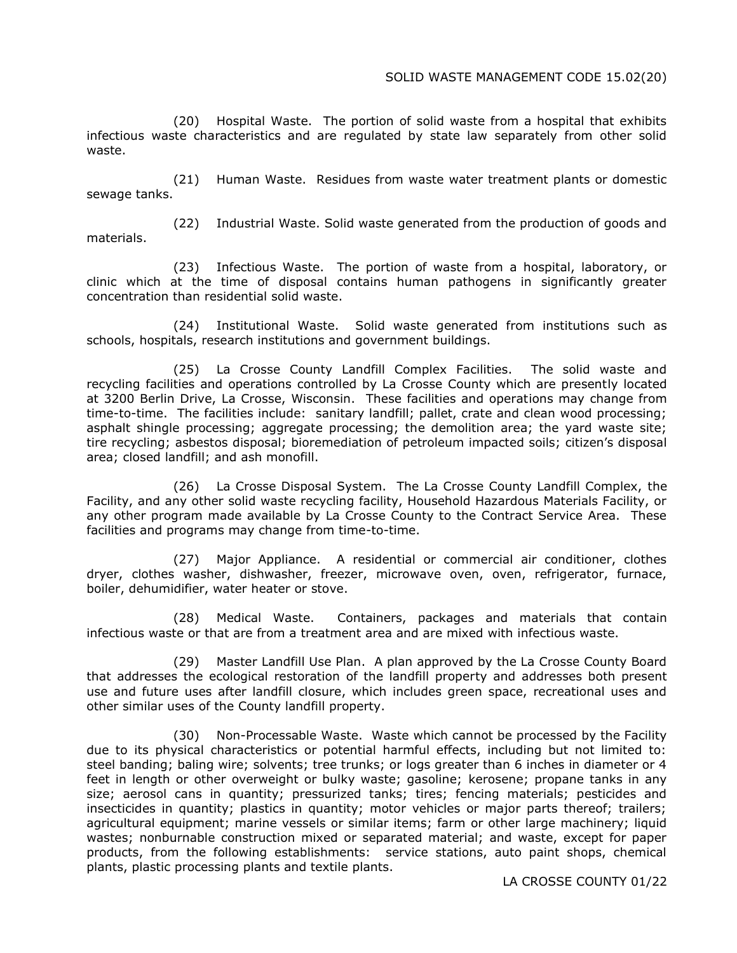(20) Hospital Waste. The portion of solid waste from a hospital that exhibits infectious waste characteristics and are regulated by state law separately from other solid waste.

(21) Human Waste. Residues from waste water treatment plants or domestic sewage tanks.

materials.

(22) Industrial Waste. Solid waste generated from the production of goods and

(23) Infectious Waste. The portion of waste from a hospital, laboratory, or clinic which at the time of disposal contains human pathogens in significantly greater concentration than residential solid waste.

(24) Institutional Waste. Solid waste generated from institutions such as schools, hospitals, research institutions and government buildings.

(25) La Crosse County Landfill Complex Facilities. The solid waste and recycling facilities and operations controlled by La Crosse County which are presently located at 3200 Berlin Drive, La Crosse, Wisconsin. These facilities and operations may change from time-to-time. The facilities include: sanitary landfill; pallet, crate and clean wood processing; asphalt shingle processing; aggregate processing; the demolition area; the yard waste site; tire recycling; asbestos disposal; bioremediation of petroleum impacted soils; citizen's disposal area; closed landfill; and ash monofill.

(26) La Crosse Disposal System. The La Crosse County Landfill Complex, the Facility, and any other solid waste recycling facility, Household Hazardous Materials Facility, or any other program made available by La Crosse County to the Contract Service Area. These facilities and programs may change from time-to-time.

(27) Major Appliance. A residential or commercial air conditioner, clothes dryer, clothes washer, dishwasher, freezer, microwave oven, oven, refrigerator, furnace, boiler, dehumidifier, water heater or stove.

(28) Medical Waste. Containers, packages and materials that contain infectious waste or that are from a treatment area and are mixed with infectious waste.

(29) Master Landfill Use Plan. A plan approved by the La Crosse County Board that addresses the ecological restoration of the landfill property and addresses both present use and future uses after landfill closure, which includes green space, recreational uses and other similar uses of the County landfill property.

(30) Non-Processable Waste. Waste which cannot be processed by the Facility due to its physical characteristics or potential harmful effects, including but not limited to: steel banding; baling wire; solvents; tree trunks; or logs greater than 6 inches in diameter or 4 feet in length or other overweight or bulky waste; gasoline; kerosene; propane tanks in any size; aerosol cans in quantity; pressurized tanks; tires; fencing materials; pesticides and insecticides in quantity; plastics in quantity; motor vehicles or major parts thereof; trailers; agricultural equipment; marine vessels or similar items; farm or other large machinery; liquid wastes; nonburnable construction mixed or separated material; and waste, except for paper products, from the following establishments: service stations, auto paint shops, chemical plants, plastic processing plants and textile plants.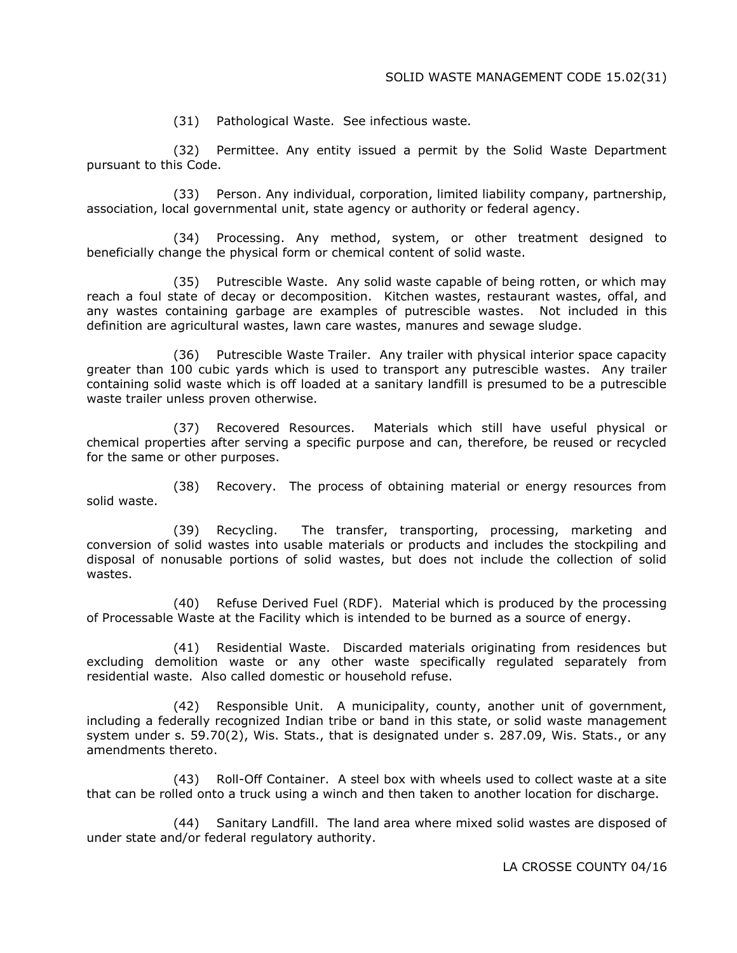(31) Pathological Waste. See infectious waste.

(32) Permittee. Any entity issued a permit by the Solid Waste Department pursuant to this Code.

(33) Person. Any individual, corporation, limited liability company, partnership, association, local governmental unit, state agency or authority or federal agency.

(34) Processing. Any method, system, or other treatment designed to beneficially change the physical form or chemical content of solid waste.

(35) Putrescible Waste. Any solid waste capable of being rotten, or which may reach a foul state of decay or decomposition. Kitchen wastes, restaurant wastes, offal, and any wastes containing garbage are examples of putrescible wastes. Not included in this definition are agricultural wastes, lawn care wastes, manures and sewage sludge.

(36) Putrescible Waste Trailer. Any trailer with physical interior space capacity greater than 100 cubic yards which is used to transport any putrescible wastes. Any trailer containing solid waste which is off loaded at a sanitary landfill is presumed to be a putrescible waste trailer unless proven otherwise.

(37) Recovered Resources. Materials which still have useful physical or chemical properties after serving a specific purpose and can, therefore, be reused or recycled for the same or other purposes.

(38) Recovery. The process of obtaining material or energy resources from solid waste.

(39) Recycling. The transfer, transporting, processing, marketing and conversion of solid wastes into usable materials or products and includes the stockpiling and disposal of nonusable portions of solid wastes, but does not include the collection of solid wastes.

(40) Refuse Derived Fuel (RDF). Material which is produced by the processing of Processable Waste at the Facility which is intended to be burned as a source of energy.

(41) Residential Waste. Discarded materials originating from residences but excluding demolition waste or any other waste specifically regulated separately from residential waste. Also called domestic or household refuse.

(42) Responsible Unit. A municipality, county, another unit of government, including a federally recognized Indian tribe or band in this state, or solid waste management system under s. 59.70(2), Wis. Stats., that is designated under s. 287.09, Wis. Stats., or any amendments thereto.

(43) Roll-Off Container. A steel box with wheels used to collect waste at a site that can be rolled onto a truck using a winch and then taken to another location for discharge.

(44) Sanitary Landfill. The land area where mixed solid wastes are disposed of under state and/or federal regulatory authority.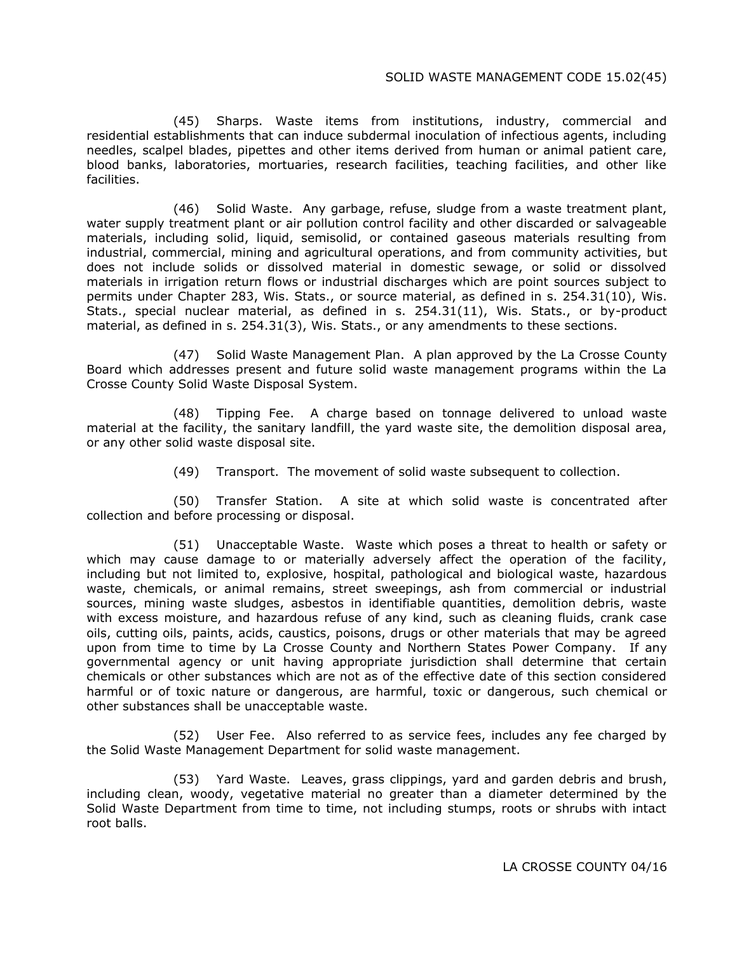#### SOLID WASTE MANAGEMENT CODE 15.02(45)

(45) Sharps. Waste items from institutions, industry, commercial and residential establishments that can induce subdermal inoculation of infectious agents, including needles, scalpel blades, pipettes and other items derived from human or animal patient care, blood banks, laboratories, mortuaries, research facilities, teaching facilities, and other like facilities.

(46) Solid Waste. Any garbage, refuse, sludge from a waste treatment plant, water supply treatment plant or air pollution control facility and other discarded or salvageable materials, including solid, liquid, semisolid, or contained gaseous materials resulting from industrial, commercial, mining and agricultural operations, and from community activities, but does not include solids or dissolved material in domestic sewage, or solid or dissolved materials in irrigation return flows or industrial discharges which are point sources subject to permits under Chapter 283, Wis. Stats., or source material, as defined in s. 254.31(10), Wis. Stats., special nuclear material, as defined in s. 254.31(11), Wis. Stats., or by-product material, as defined in s. 254.31(3), Wis. Stats., or any amendments to these sections.

(47) Solid Waste Management Plan. A plan approved by the La Crosse County Board which addresses present and future solid waste management programs within the La Crosse County Solid Waste Disposal System.

(48) Tipping Fee. A charge based on tonnage delivered to unload waste material at the facility, the sanitary landfill, the yard waste site, the demolition disposal area, or any other solid waste disposal site.

(49) Transport. The movement of solid waste subsequent to collection.

(50) Transfer Station. A site at which solid waste is concentrated after collection and before processing or disposal.

(51) Unacceptable Waste. Waste which poses a threat to health or safety or which may cause damage to or materially adversely affect the operation of the facility, including but not limited to, explosive, hospital, pathological and biological waste, hazardous waste, chemicals, or animal remains, street sweepings, ash from commercial or industrial sources, mining waste sludges, asbestos in identifiable quantities, demolition debris, waste with excess moisture, and hazardous refuse of any kind, such as cleaning fluids, crank case oils, cutting oils, paints, acids, caustics, poisons, drugs or other materials that may be agreed upon from time to time by La Crosse County and Northern States Power Company. If any governmental agency or unit having appropriate jurisdiction shall determine that certain chemicals or other substances which are not as of the effective date of this section considered harmful or of toxic nature or dangerous, are harmful, toxic or dangerous, such chemical or other substances shall be unacceptable waste.

(52) User Fee. Also referred to as service fees, includes any fee charged by the Solid Waste Management Department for solid waste management.

(53) Yard Waste. Leaves, grass clippings, yard and garden debris and brush, including clean, woody, vegetative material no greater than a diameter determined by the Solid Waste Department from time to time, not including stumps, roots or shrubs with intact root balls.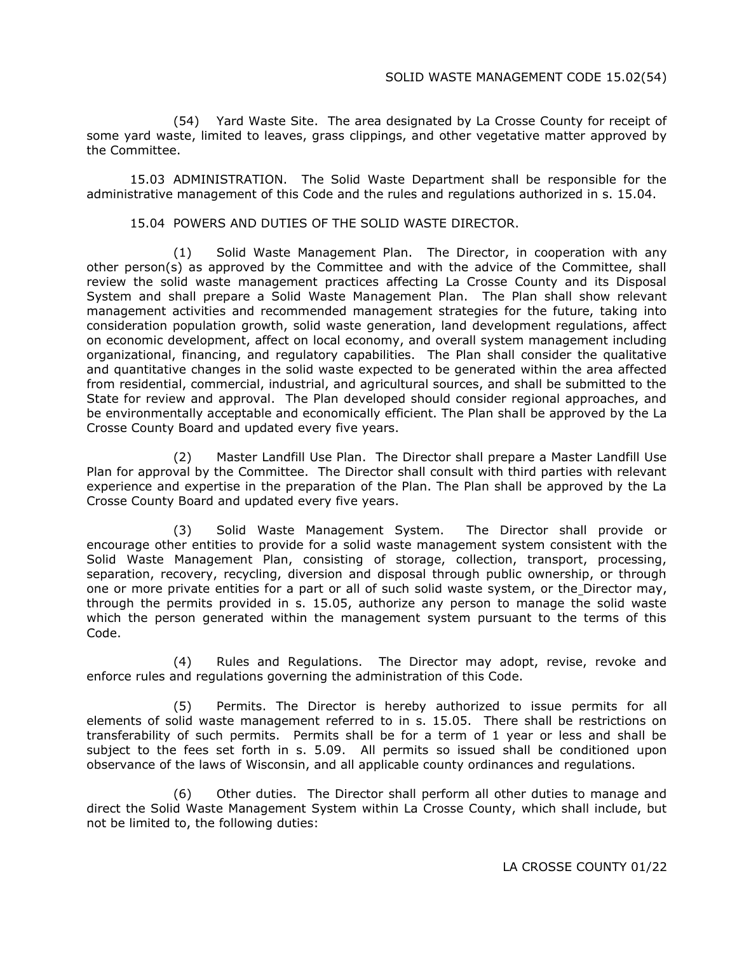(54) Yard Waste Site. The area designated by La Crosse County for receipt of some yard waste, limited to leaves, grass clippings, and other vegetative matter approved by the Committee.

15.03 ADMINISTRATION. The Solid Waste Department shall be responsible for the administrative management of this Code and the rules and regulations authorized in s. 15.04.

#### 15.04 POWERS AND DUTIES OF THE SOLID WASTE DIRECTOR.

(1) Solid Waste Management Plan. The Director, in cooperation with any other person(s) as approved by the Committee and with the advice of the Committee, shall review the solid waste management practices affecting La Crosse County and its Disposal System and shall prepare a Solid Waste Management Plan. The Plan shall show relevant management activities and recommended management strategies for the future, taking into consideration population growth, solid waste generation, land development regulations, affect on economic development, affect on local economy, and overall system management including organizational, financing, and regulatory capabilities. The Plan shall consider the qualitative and quantitative changes in the solid waste expected to be generated within the area affected from residential, commercial, industrial, and agricultural sources, and shall be submitted to the State for review and approval. The Plan developed should consider regional approaches, and be environmentally acceptable and economically efficient. The Plan shall be approved by the La Crosse County Board and updated every five years.

(2) Master Landfill Use Plan. The Director shall prepare a Master Landfill Use Plan for approval by the Committee. The Director shall consult with third parties with relevant experience and expertise in the preparation of the Plan. The Plan shall be approved by the La Crosse County Board and updated every five years.

(3) Solid Waste Management System. The Director shall provide or encourage other entities to provide for a solid waste management system consistent with the Solid Waste Management Plan, consisting of storage, collection, transport, processing, separation, recovery, recycling, diversion and disposal through public ownership, or through one or more private entities for a part or all of such solid waste system, or the Director may, through the permits provided in s. 15.05, authorize any person to manage the solid waste which the person generated within the management system pursuant to the terms of this Code.

(4) Rules and Regulations. The Director may adopt, revise, revoke and enforce rules and regulations governing the administration of this Code.

(5) Permits. The Director is hereby authorized to issue permits for all elements of solid waste management referred to in s. 15.05. There shall be restrictions on transferability of such permits. Permits shall be for a term of 1 year or less and shall be subject to the fees set forth in s. 5.09. All permits so issued shall be conditioned upon observance of the laws of Wisconsin, and all applicable county ordinances and regulations.

(6) Other duties. The Director shall perform all other duties to manage and direct the Solid Waste Management System within La Crosse County, which shall include, but not be limited to, the following duties: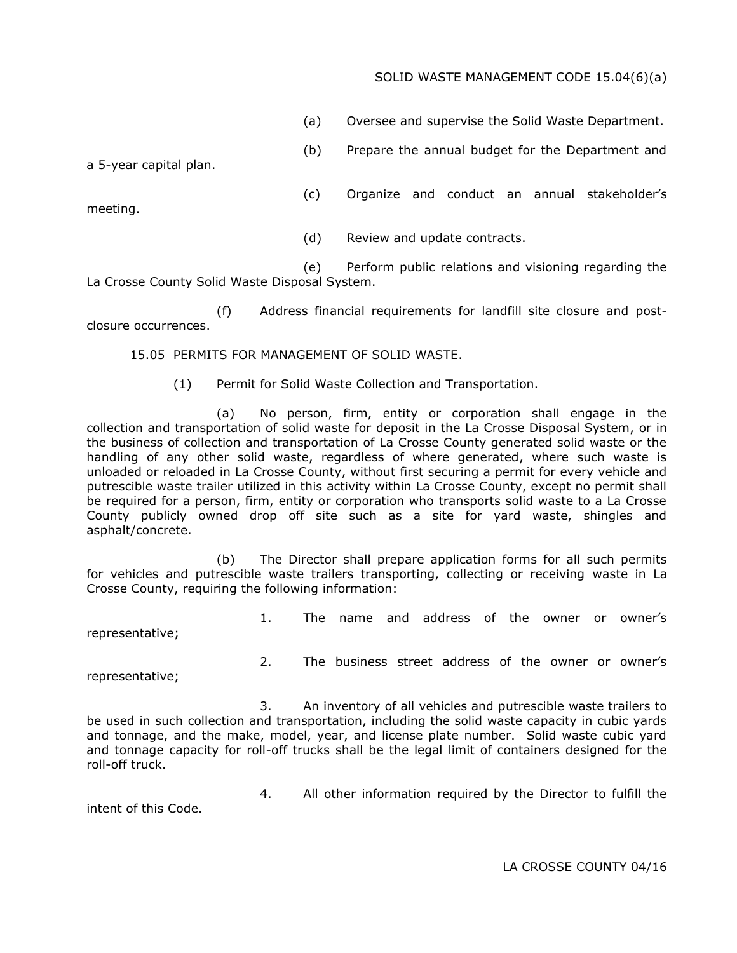# SOLID WASTE MANAGEMENT CODE 15.04(6)(a)

(a) Oversee and supervise the Solid Waste Department.

(b) Prepare the annual budget for the Department and

a 5-year capital plan.

- (c) Organize and conduct an annual stakeholder's
- (d) Review and update contracts.

(e) Perform public relations and visioning regarding the La Crosse County Solid Waste Disposal System.

(f) Address financial requirements for landfill site closure and postclosure occurrences.

15.05 PERMITS FOR MANAGEMENT OF SOLID WASTE.

(1) Permit for Solid Waste Collection and Transportation.

(a) No person, firm, entity or corporation shall engage in the collection and transportation of solid waste for deposit in the La Crosse Disposal System, or in the business of collection and transportation of La Crosse County generated solid waste or the handling of any other solid waste, regardless of where generated, where such waste is unloaded or reloaded in La Crosse County, without first securing a permit for every vehicle and putrescible waste trailer utilized in this activity within La Crosse County, except no permit shall be required for a person, firm, entity or corporation who transports solid waste to a La Crosse County publicly owned drop off site such as a site for yard waste, shingles and asphalt/concrete.

(b) The Director shall prepare application forms for all such permits for vehicles and putrescible waste trailers transporting, collecting or receiving waste in La Crosse County, requiring the following information:

representative;

1. The name and address of the owner or owner's

representative;

2. The business street address of the owner or owner's

3. An inventory of all vehicles and putrescible waste trailers to be used in such collection and transportation, including the solid waste capacity in cubic yards and tonnage, and the make, model, year, and license plate number. Solid waste cubic yard and tonnage capacity for roll-off trucks shall be the legal limit of containers designed for the roll-off truck.

intent of this Code.

4. All other information required by the Director to fulfill the

LA CROSSE COUNTY 04/16

meeting.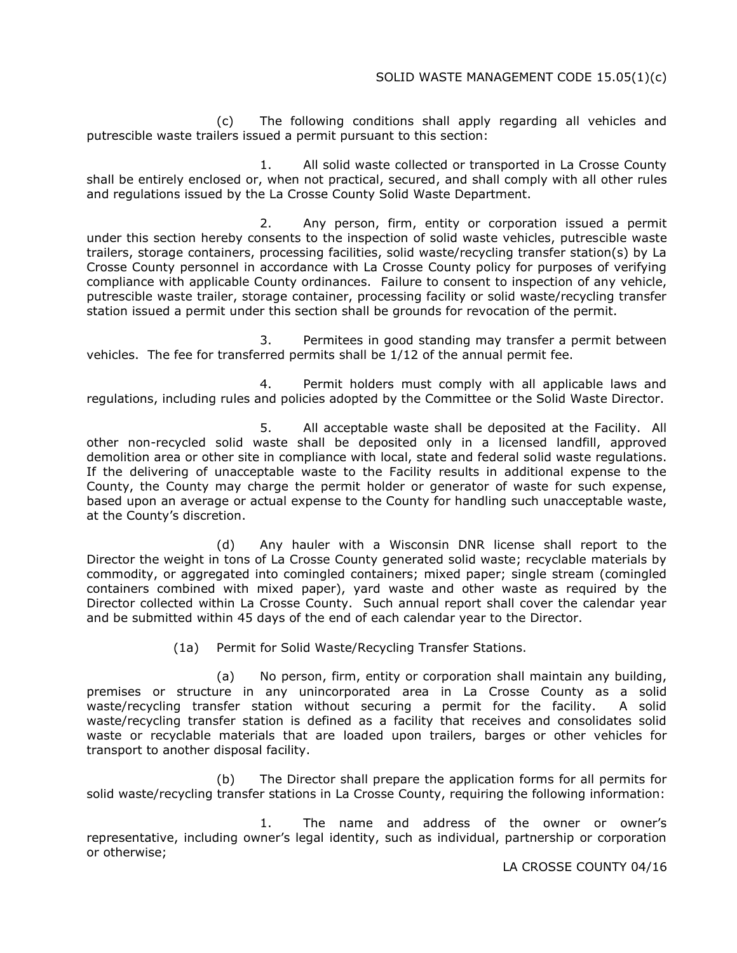(c) The following conditions shall apply regarding all vehicles and putrescible waste trailers issued a permit pursuant to this section:

1. All solid waste collected or transported in La Crosse County shall be entirely enclosed or, when not practical, secured, and shall comply with all other rules and regulations issued by the La Crosse County Solid Waste Department.

2. Any person, firm, entity or corporation issued a permit under this section hereby consents to the inspection of solid waste vehicles, putrescible waste trailers, storage containers, processing facilities, solid waste/recycling transfer station(s) by La Crosse County personnel in accordance with La Crosse County policy for purposes of verifying compliance with applicable County ordinances. Failure to consent to inspection of any vehicle, putrescible waste trailer, storage container, processing facility or solid waste/recycling transfer station issued a permit under this section shall be grounds for revocation of the permit.

3. Permitees in good standing may transfer a permit between vehicles. The fee for transferred permits shall be 1/12 of the annual permit fee.

4. Permit holders must comply with all applicable laws and regulations, including rules and policies adopted by the Committee or the Solid Waste Director.

5. All acceptable waste shall be deposited at the Facility. All other non-recycled solid waste shall be deposited only in a licensed landfill, approved demolition area or other site in compliance with local, state and federal solid waste regulations. If the delivering of unacceptable waste to the Facility results in additional expense to the County, the County may charge the permit holder or generator of waste for such expense, based upon an average or actual expense to the County for handling such unacceptable waste, at the County's discretion.

(d) Any hauler with a Wisconsin DNR license shall report to the Director the weight in tons of La Crosse County generated solid waste; recyclable materials by commodity, or aggregated into comingled containers; mixed paper; single stream (comingled containers combined with mixed paper), yard waste and other waste as required by the Director collected within La Crosse County. Such annual report shall cover the calendar year and be submitted within 45 days of the end of each calendar year to the Director.

(1a) Permit for Solid Waste/Recycling Transfer Stations.

(a) No person, firm, entity or corporation shall maintain any building, premises or structure in any unincorporated area in La Crosse County as a solid waste/recycling transfer station without securing a permit for the facility. A solid waste/recycling transfer station is defined as a facility that receives and consolidates solid waste or recyclable materials that are loaded upon trailers, barges or other vehicles for transport to another disposal facility.

(b) The Director shall prepare the application forms for all permits for solid waste/recycling transfer stations in La Crosse County, requiring the following information:

1. The name and address of the owner or owner's representative, including owner's legal identity, such as individual, partnership or corporation or otherwise;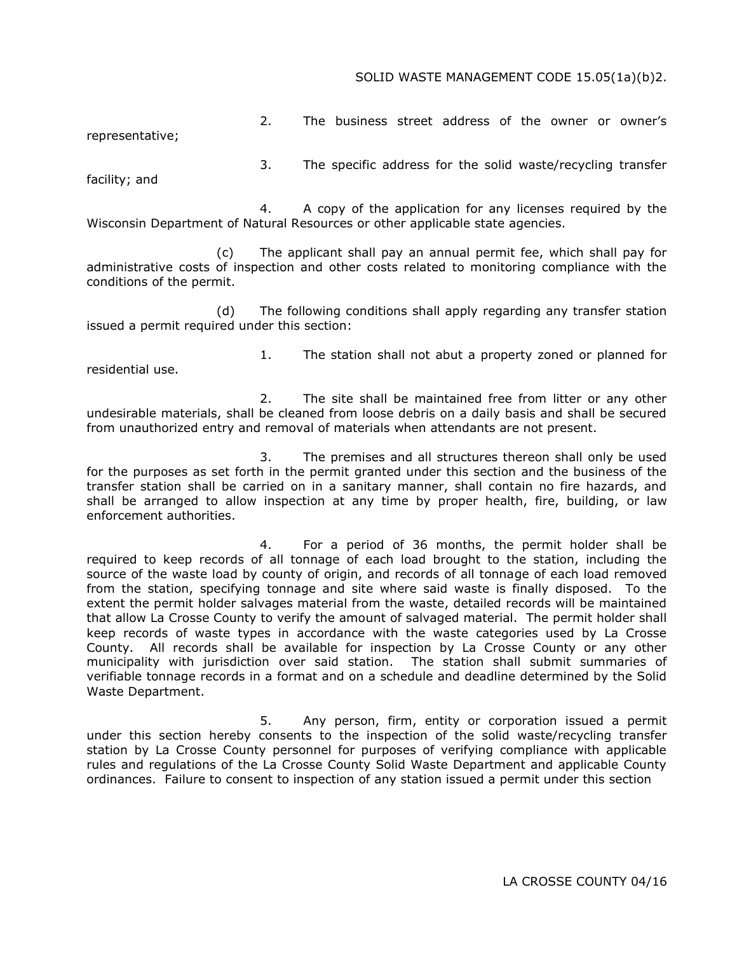#### SOLID WASTE MANAGEMENT CODE 15.05(1a)(b)2.

2. The business street address of the owner or owner's

representative;

3. The specific address for the solid waste/recycling transfer

facility; and

4. A copy of the application for any licenses required by the Wisconsin Department of Natural Resources or other applicable state agencies.

(c) The applicant shall pay an annual permit fee, which shall pay for administrative costs of inspection and other costs related to monitoring compliance with the conditions of the permit.

(d) The following conditions shall apply regarding any transfer station issued a permit required under this section:

residential use.

1. The station shall not abut a property zoned or planned for

2. The site shall be maintained free from litter or any other undesirable materials, shall be cleaned from loose debris on a daily basis and shall be secured from unauthorized entry and removal of materials when attendants are not present.

3. The premises and all structures thereon shall only be used for the purposes as set forth in the permit granted under this section and the business of the transfer station shall be carried on in a sanitary manner, shall contain no fire hazards, and shall be arranged to allow inspection at any time by proper health, fire, building, or law enforcement authorities.

4. For a period of 36 months, the permit holder shall be required to keep records of all tonnage of each load brought to the station, including the source of the waste load by county of origin, and records of all tonnage of each load removed from the station, specifying tonnage and site where said waste is finally disposed. To the extent the permit holder salvages material from the waste, detailed records will be maintained that allow La Crosse County to verify the amount of salvaged material. The permit holder shall keep records of waste types in accordance with the waste categories used by La Crosse County. All records shall be available for inspection by La Crosse County or any other municipality with jurisdiction over said station. The station shall submit summaries of verifiable tonnage records in a format and on a schedule and deadline determined by the Solid Waste Department.

5. Any person, firm, entity or corporation issued a permit under this section hereby consents to the inspection of the solid waste/recycling transfer station by La Crosse County personnel for purposes of verifying compliance with applicable rules and regulations of the La Crosse County Solid Waste Department and applicable County ordinances. Failure to consent to inspection of any station issued a permit under this section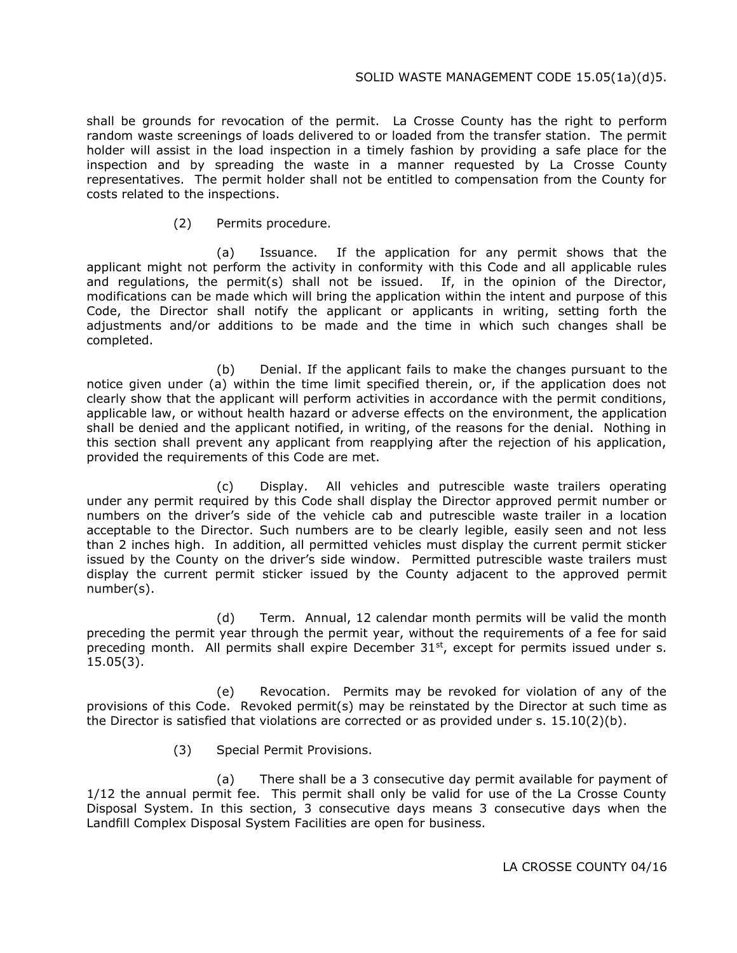shall be grounds for revocation of the permit. La Crosse County has the right to perform random waste screenings of loads delivered to or loaded from the transfer station. The permit holder will assist in the load inspection in a timely fashion by providing a safe place for the inspection and by spreading the waste in a manner requested by La Crosse County representatives. The permit holder shall not be entitled to compensation from the County for costs related to the inspections.

(2) Permits procedure.

(a) Issuance. If the application for any permit shows that the applicant might not perform the activity in conformity with this Code and all applicable rules and regulations, the permit(s) shall not be issued. If, in the opinion of the Director, modifications can be made which will bring the application within the intent and purpose of this Code, the Director shall notify the applicant or applicants in writing, setting forth the adjustments and/or additions to be made and the time in which such changes shall be completed.

(b) Denial. If the applicant fails to make the changes pursuant to the notice given under (a) within the time limit specified therein, or, if the application does not clearly show that the applicant will perform activities in accordance with the permit conditions, applicable law, or without health hazard or adverse effects on the environment, the application shall be denied and the applicant notified, in writing, of the reasons for the denial. Nothing in this section shall prevent any applicant from reapplying after the rejection of his application, provided the requirements of this Code are met.

(c) Display. All vehicles and putrescible waste trailers operating under any permit required by this Code shall display the Director approved permit number or numbers on the driver's side of the vehicle cab and putrescible waste trailer in a location acceptable to the Director. Such numbers are to be clearly legible, easily seen and not less than 2 inches high. In addition, all permitted vehicles must display the current permit sticker issued by the County on the driver's side window. Permitted putrescible waste trailers must display the current permit sticker issued by the County adjacent to the approved permit number(s).

(d) Term. Annual, 12 calendar month permits will be valid the month preceding the permit year through the permit year, without the requirements of a fee for said preceding month. All permits shall expire December 31<sup>st</sup>, except for permits issued under s. 15.05(3).

(e) Revocation. Permits may be revoked for violation of any of the provisions of this Code. Revoked permit(s) may be reinstated by the Director at such time as the Director is satisfied that violations are corrected or as provided under s.  $15.10(2)(b)$ .

(3) Special Permit Provisions.

(a) There shall be a 3 consecutive day permit available for payment of 1/12 the annual permit fee. This permit shall only be valid for use of the La Crosse County Disposal System. In this section, 3 consecutive days means 3 consecutive days when the Landfill Complex Disposal System Facilities are open for business.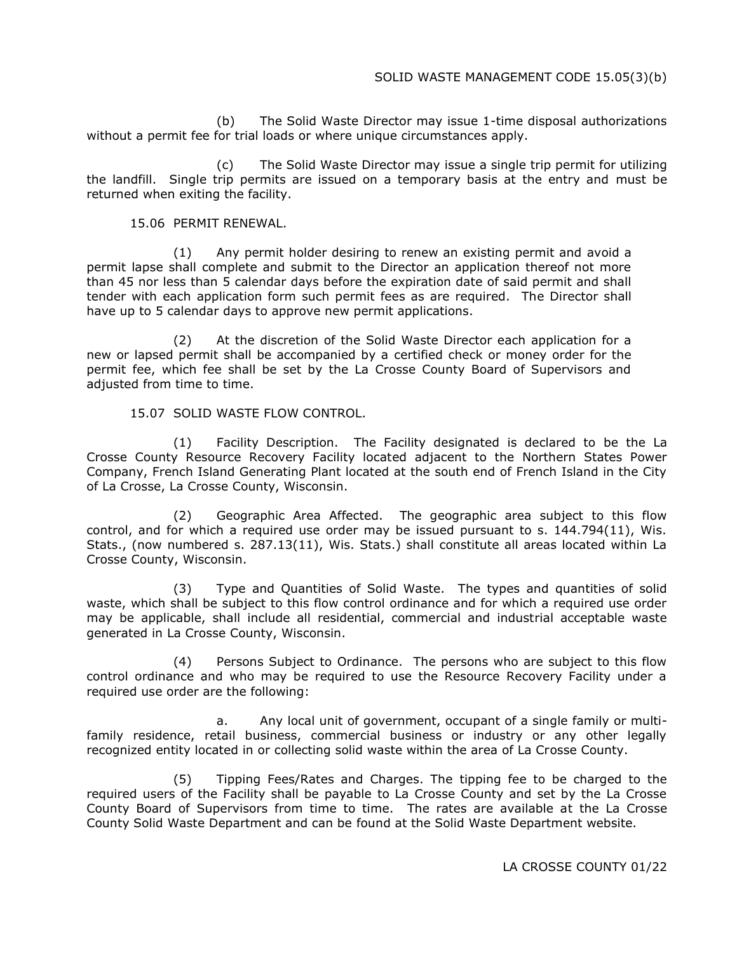(b) The Solid Waste Director may issue 1-time disposal authorizations without a permit fee for trial loads or where unique circumstances apply.

(c) The Solid Waste Director may issue a single trip permit for utilizing the landfill. Single trip permits are issued on a temporary basis at the entry and must be returned when exiting the facility.

15.06 PERMIT RENEWAL.

(1) Any permit holder desiring to renew an existing permit and avoid a permit lapse shall complete and submit to the Director an application thereof not more than 45 nor less than 5 calendar days before the expiration date of said permit and shall tender with each application form such permit fees as are required. The Director shall have up to 5 calendar days to approve new permit applications.

(2) At the discretion of the Solid Waste Director each application for a new or lapsed permit shall be accompanied by a certified check or money order for the permit fee, which fee shall be set by the La Crosse County Board of Supervisors and adjusted from time to time.

15.07 SOLID WASTE FLOW CONTROL.

(1) Facility Description. The Facility designated is declared to be the La Crosse County Resource Recovery Facility located adjacent to the Northern States Power Company, French Island Generating Plant located at the south end of French Island in the City of La Crosse, La Crosse County, Wisconsin.

(2) Geographic Area Affected. The geographic area subject to this flow control, and for which a required use order may be issued pursuant to s. 144.794(11), Wis. Stats., (now numbered s. 287.13(11), Wis. Stats.) shall constitute all areas located within La Crosse County, Wisconsin.

(3) Type and Quantities of Solid Waste. The types and quantities of solid waste, which shall be subject to this flow control ordinance and for which a required use order may be applicable, shall include all residential, commercial and industrial acceptable waste generated in La Crosse County, Wisconsin.

(4) Persons Subject to Ordinance. The persons who are subject to this flow control ordinance and who may be required to use the Resource Recovery Facility under a required use order are the following:

a. Any local unit of government, occupant of a single family or multifamily residence, retail business, commercial business or industry or any other legally recognized entity located in or collecting solid waste within the area of La Crosse County.

(5) Tipping Fees/Rates and Charges. The tipping fee to be charged to the required users of the Facility shall be payable to La Crosse County and set by the La Crosse County Board of Supervisors from time to time. The rates are available at the La Crosse County Solid Waste Department and can be found at the Solid Waste Department website.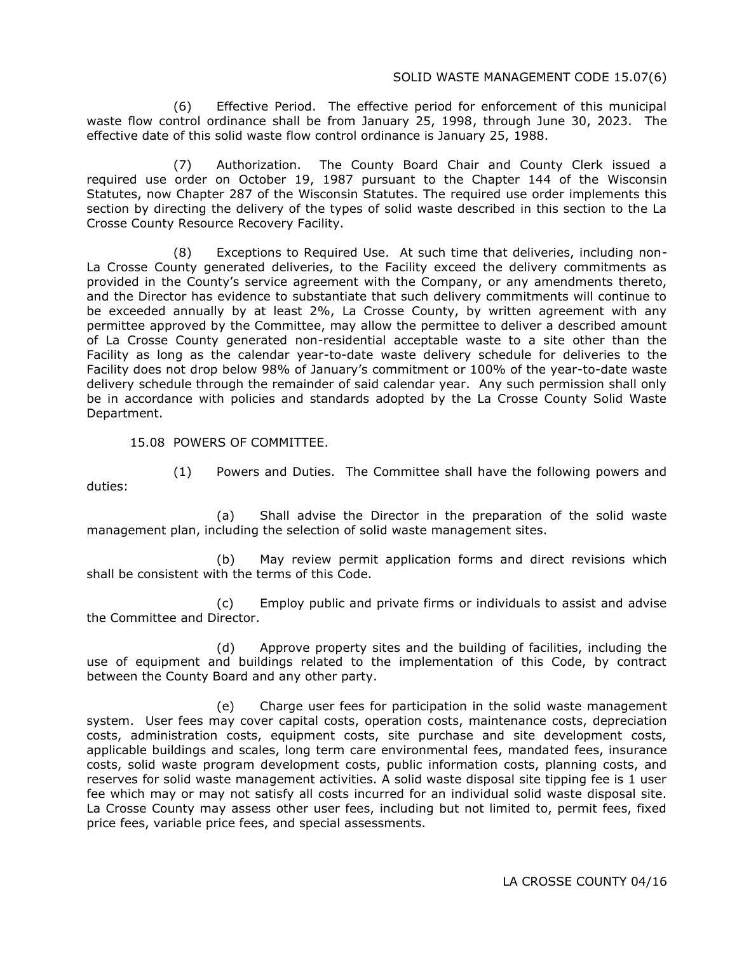#### SOLID WASTE MANAGEMENT CODE 15.07(6)

(6) Effective Period. The effective period for enforcement of this municipal waste flow control ordinance shall be from January 25, 1998, through June 30, 2023. The effective date of this solid waste flow control ordinance is January 25, 1988.

(7) Authorization. The County Board Chair and County Clerk issued a required use order on October 19, 1987 pursuant to the Chapter 144 of the Wisconsin Statutes, now Chapter 287 of the Wisconsin Statutes. The required use order implements this section by directing the delivery of the types of solid waste described in this section to the La Crosse County Resource Recovery Facility.

(8) Exceptions to Required Use. At such time that deliveries, including non-La Crosse County generated deliveries, to the Facility exceed the delivery commitments as provided in the County's service agreement with the Company, or any amendments thereto, and the Director has evidence to substantiate that such delivery commitments will continue to be exceeded annually by at least 2%, La Crosse County, by written agreement with any permittee approved by the Committee, may allow the permittee to deliver a described amount of La Crosse County generated non-residential acceptable waste to a site other than the Facility as long as the calendar year-to-date waste delivery schedule for deliveries to the Facility does not drop below 98% of January's commitment or 100% of the year-to-date waste delivery schedule through the remainder of said calendar year. Any such permission shall only be in accordance with policies and standards adopted by the La Crosse County Solid Waste Department.

15.08 POWERS OF COMMITTEE.

duties:

(1) Powers and Duties. The Committee shall have the following powers and

(a) Shall advise the Director in the preparation of the solid waste management plan, including the selection of solid waste management sites.

(b) May review permit application forms and direct revisions which shall be consistent with the terms of this Code.

(c) Employ public and private firms or individuals to assist and advise the Committee and Director.

(d) Approve property sites and the building of facilities, including the use of equipment and buildings related to the implementation of this Code, by contract between the County Board and any other party.

(e) Charge user fees for participation in the solid waste management system. User fees may cover capital costs, operation costs, maintenance costs, depreciation costs, administration costs, equipment costs, site purchase and site development costs, applicable buildings and scales, long term care environmental fees, mandated fees, insurance costs, solid waste program development costs, public information costs, planning costs, and reserves for solid waste management activities. A solid waste disposal site tipping fee is 1 user fee which may or may not satisfy all costs incurred for an individual solid waste disposal site. La Crosse County may assess other user fees, including but not limited to, permit fees, fixed price fees, variable price fees, and special assessments.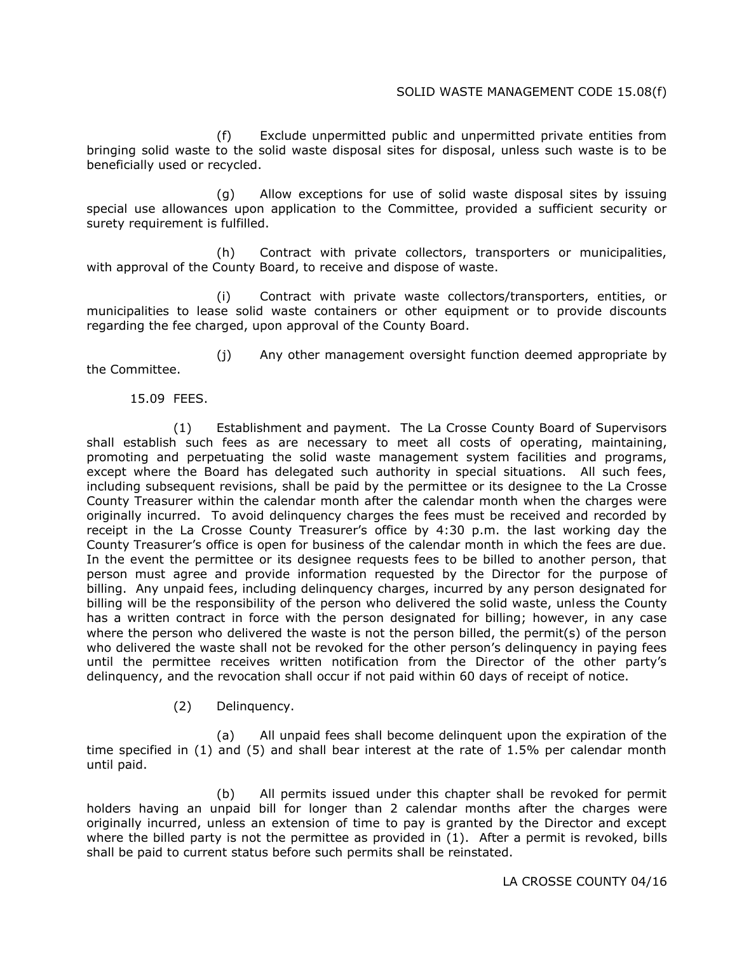# SOLID WASTE MANAGEMENT CODE 15.08(f)

(f) Exclude unpermitted public and unpermitted private entities from bringing solid waste to the solid waste disposal sites for disposal, unless such waste is to be beneficially used or recycled.

(g) Allow exceptions for use of solid waste disposal sites by issuing special use allowances upon application to the Committee, provided a sufficient security or surety requirement is fulfilled.

(h) Contract with private collectors, transporters or municipalities, with approval of the County Board, to receive and dispose of waste.

(i) Contract with private waste collectors/transporters, entities, or municipalities to lease solid waste containers or other equipment or to provide discounts regarding the fee charged, upon approval of the County Board.

(j) Any other management oversight function deemed appropriate by the Committee.

#### 15.09 FEES.

(1) Establishment and payment. The La Crosse County Board of Supervisors shall establish such fees as are necessary to meet all costs of operating, maintaining, promoting and perpetuating the solid waste management system facilities and programs, except where the Board has delegated such authority in special situations. All such fees, including subsequent revisions, shall be paid by the permittee or its designee to the La Crosse County Treasurer within the calendar month after the calendar month when the charges were originally incurred. To avoid delinquency charges the fees must be received and recorded by receipt in the La Crosse County Treasurer's office by 4:30 p.m. the last working day the County Treasurer's office is open for business of the calendar month in which the fees are due. In the event the permittee or its designee requests fees to be billed to another person, that person must agree and provide information requested by the Director for the purpose of billing. Any unpaid fees, including delinquency charges, incurred by any person designated for billing will be the responsibility of the person who delivered the solid waste, unless the County has a written contract in force with the person designated for billing; however, in any case where the person who delivered the waste is not the person billed, the permit(s) of the person who delivered the waste shall not be revoked for the other person's delinquency in paying fees until the permittee receives written notification from the Director of the other party's delinquency, and the revocation shall occur if not paid within 60 days of receipt of notice.

#### (2) Delinquency.

(a) All unpaid fees shall become delinquent upon the expiration of the time specified in (1) and (5) and shall bear interest at the rate of 1.5% per calendar month until paid.

(b) All permits issued under this chapter shall be revoked for permit holders having an unpaid bill for longer than 2 calendar months after the charges were originally incurred, unless an extension of time to pay is granted by the Director and except where the billed party is not the permittee as provided in (1). After a permit is revoked, bills shall be paid to current status before such permits shall be reinstated.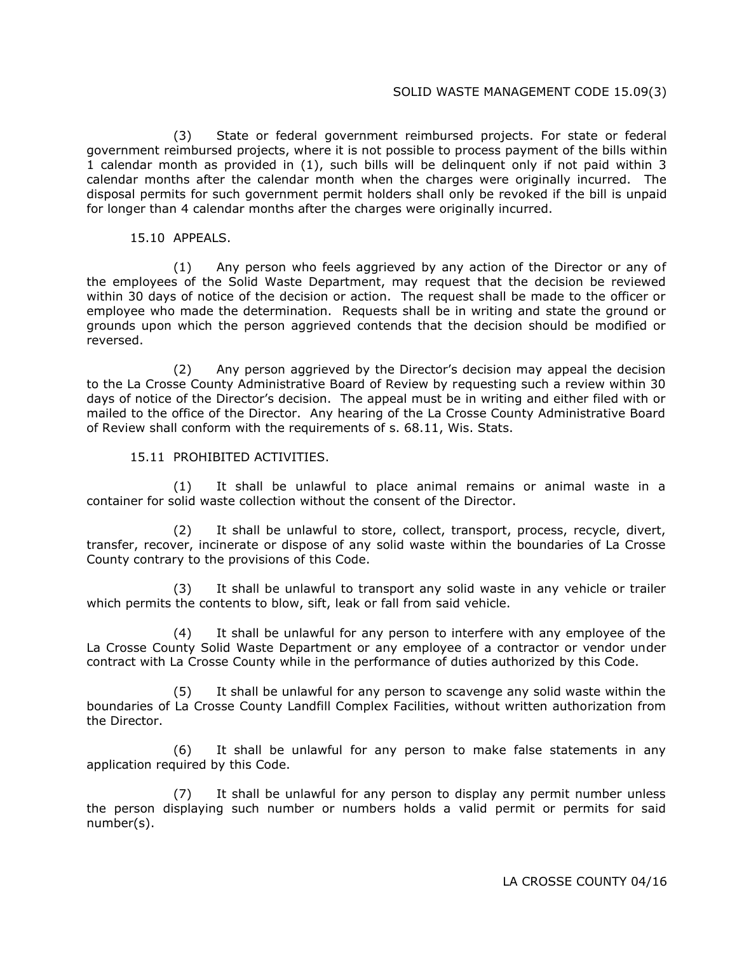#### SOLID WASTE MANAGEMENT CODE 15.09(3)

(3) State or federal government reimbursed projects. For state or federal government reimbursed projects, where it is not possible to process payment of the bills within 1 calendar month as provided in (1), such bills will be delinquent only if not paid within 3 calendar months after the calendar month when the charges were originally incurred. The disposal permits for such government permit holders shall only be revoked if the bill is unpaid for longer than 4 calendar months after the charges were originally incurred.

#### 15.10 APPEALS.

(1) Any person who feels aggrieved by any action of the Director or any of the employees of the Solid Waste Department, may request that the decision be reviewed within 30 days of notice of the decision or action. The request shall be made to the officer or employee who made the determination. Requests shall be in writing and state the ground or grounds upon which the person aggrieved contends that the decision should be modified or reversed.

(2) Any person aggrieved by the Director's decision may appeal the decision to the La Crosse County Administrative Board of Review by requesting such a review within 30 days of notice of the Director's decision. The appeal must be in writing and either filed with or mailed to the office of the Director. Any hearing of the La Crosse County Administrative Board of Review shall conform with the requirements of s. 68.11, Wis. Stats.

15.11 PROHIBITED ACTIVITIES.

(1) It shall be unlawful to place animal remains or animal waste in a container for solid waste collection without the consent of the Director.

(2) It shall be unlawful to store, collect, transport, process, recycle, divert, transfer, recover, incinerate or dispose of any solid waste within the boundaries of La Crosse County contrary to the provisions of this Code.

(3) It shall be unlawful to transport any solid waste in any vehicle or trailer which permits the contents to blow, sift, leak or fall from said vehicle.

(4) It shall be unlawful for any person to interfere with any employee of the La Crosse County Solid Waste Department or any employee of a contractor or vendor under contract with La Crosse County while in the performance of duties authorized by this Code.

(5) It shall be unlawful for any person to scavenge any solid waste within the boundaries of La Crosse County Landfill Complex Facilities, without written authorization from the Director.

(6) It shall be unlawful for any person to make false statements in any application required by this Code.

(7) It shall be unlawful for any person to display any permit number unless the person displaying such number or numbers holds a valid permit or permits for said number(s).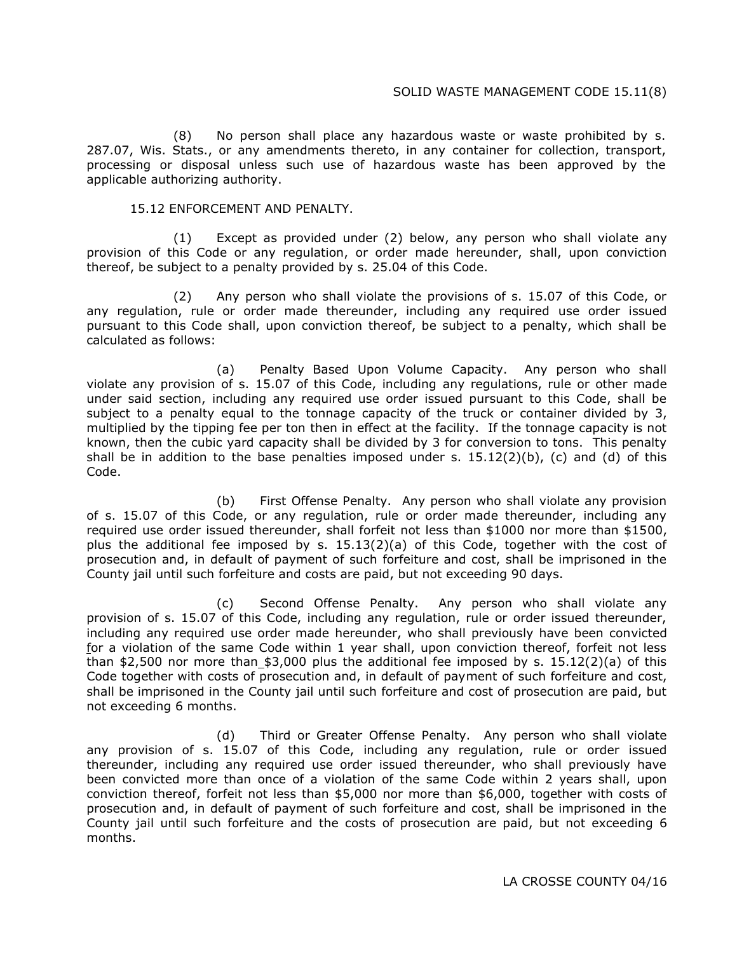(8) No person shall place any hazardous waste or waste prohibited by s. 287.07, Wis. Stats., or any amendments thereto, in any container for collection, transport, processing or disposal unless such use of hazardous waste has been approved by the applicable authorizing authority.

#### 15.12 ENFORCEMENT AND PENALTY.

(1) Except as provided under (2) below, any person who shall violate any provision of this Code or any regulation, or order made hereunder, shall, upon conviction thereof, be subject to a penalty provided by s. 25.04 of this Code.

(2) Any person who shall violate the provisions of s. 15.07 of this Code, or any regulation, rule or order made thereunder, including any required use order issued pursuant to this Code shall, upon conviction thereof, be subject to a penalty, which shall be calculated as follows:

(a) Penalty Based Upon Volume Capacity. Any person who shall violate any provision of s. 15.07 of this Code, including any regulations, rule or other made under said section, including any required use order issued pursuant to this Code, shall be subject to a penalty equal to the tonnage capacity of the truck or container divided by 3, multiplied by the tipping fee per ton then in effect at the facility. If the tonnage capacity is not known, then the cubic yard capacity shall be divided by 3 for conversion to tons. This penalty shall be in addition to the base penalties imposed under s.  $15.12(2)(b)$ , (c) and (d) of this Code.

(b) First Offense Penalty. Any person who shall violate any provision of s. 15.07 of this Code, or any regulation, rule or order made thereunder, including any required use order issued thereunder, shall forfeit not less than \$1000 nor more than \$1500, plus the additional fee imposed by s.  $15.13(2)(a)$  of this Code, together with the cost of prosecution and, in default of payment of such forfeiture and cost, shall be imprisoned in the County jail until such forfeiture and costs are paid, but not exceeding 90 days.

(c) Second Offense Penalty. Any person who shall violate any provision of s. 15.07 of this Code, including any regulation, rule or order issued thereunder, including any required use order made hereunder, who shall previously have been convicted for a violation of the same Code within 1 year shall, upon conviction thereof, forfeit not less than \$2,500 nor more than  $$3,000$  plus the additional fee imposed by s. 15.12(2)(a) of this Code together with costs of prosecution and, in default of payment of such forfeiture and cost, shall be imprisoned in the County jail until such forfeiture and cost of prosecution are paid, but not exceeding 6 months.

(d) Third or Greater Offense Penalty. Any person who shall violate any provision of s. 15.07 of this Code, including any regulation, rule or order issued thereunder, including any required use order issued thereunder, who shall previously have been convicted more than once of a violation of the same Code within 2 years shall, upon conviction thereof, forfeit not less than \$5,000 nor more than \$6,000, together with costs of prosecution and, in default of payment of such forfeiture and cost, shall be imprisoned in the County jail until such forfeiture and the costs of prosecution are paid, but not exceeding 6 months.